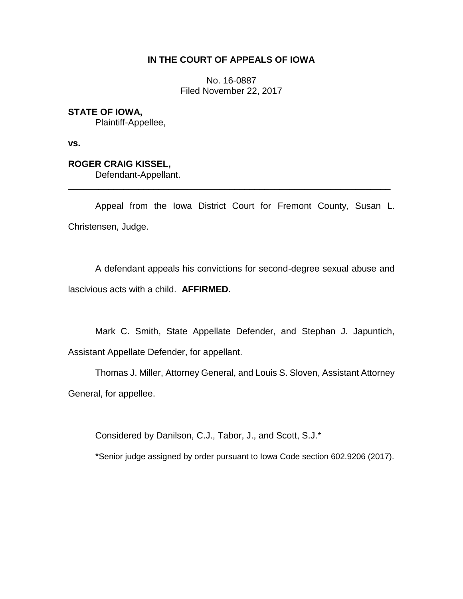## **IN THE COURT OF APPEALS OF IOWA**

No. 16-0887 Filed November 22, 2017

## **STATE OF IOWA,**

Plaintiff-Appellee,

**vs.**

# **ROGER CRAIG KISSEL,**

Defendant-Appellant.

Appeal from the Iowa District Court for Fremont County, Susan L. Christensen, Judge.

\_\_\_\_\_\_\_\_\_\_\_\_\_\_\_\_\_\_\_\_\_\_\_\_\_\_\_\_\_\_\_\_\_\_\_\_\_\_\_\_\_\_\_\_\_\_\_\_\_\_\_\_\_\_\_\_\_\_\_\_\_\_\_\_

A defendant appeals his convictions for second-degree sexual abuse and lascivious acts with a child. **AFFIRMED.**

Mark C. Smith, State Appellate Defender, and Stephan J. Japuntich, Assistant Appellate Defender, for appellant.

Thomas J. Miller, Attorney General, and Louis S. Sloven, Assistant Attorney General, for appellee.

Considered by Danilson, C.J., Tabor, J., and Scott, S.J.\*

\*Senior judge assigned by order pursuant to Iowa Code section 602.9206 (2017).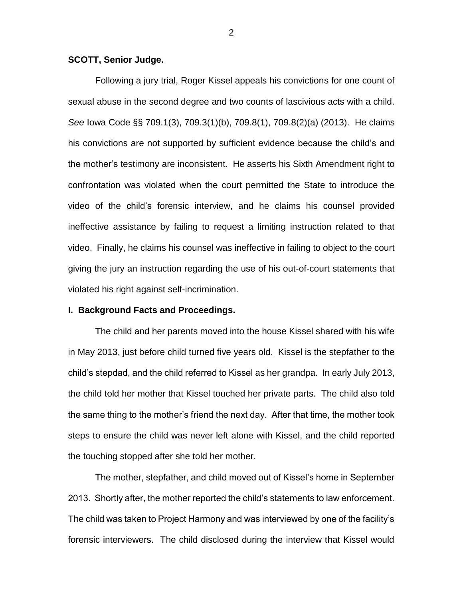## **SCOTT, Senior Judge.**

Following a jury trial, Roger Kissel appeals his convictions for one count of sexual abuse in the second degree and two counts of lascivious acts with a child. *See* Iowa Code §§ 709.1(3), 709.3(1)(b), 709.8(1), 709.8(2)(a) (2013). He claims his convictions are not supported by sufficient evidence because the child's and the mother's testimony are inconsistent. He asserts his Sixth Amendment right to confrontation was violated when the court permitted the State to introduce the video of the child's forensic interview, and he claims his counsel provided ineffective assistance by failing to request a limiting instruction related to that video. Finally, he claims his counsel was ineffective in failing to object to the court giving the jury an instruction regarding the use of his out-of-court statements that violated his right against self-incrimination.

## **I. Background Facts and Proceedings.**

The child and her parents moved into the house Kissel shared with his wife in May 2013, just before child turned five years old. Kissel is the stepfather to the child's stepdad, and the child referred to Kissel as her grandpa. In early July 2013, the child told her mother that Kissel touched her private parts. The child also told the same thing to the mother's friend the next day. After that time, the mother took steps to ensure the child was never left alone with Kissel, and the child reported the touching stopped after she told her mother.

The mother, stepfather, and child moved out of Kissel's home in September 2013. Shortly after, the mother reported the child's statements to law enforcement. The child was taken to Project Harmony and was interviewed by one of the facility's forensic interviewers. The child disclosed during the interview that Kissel would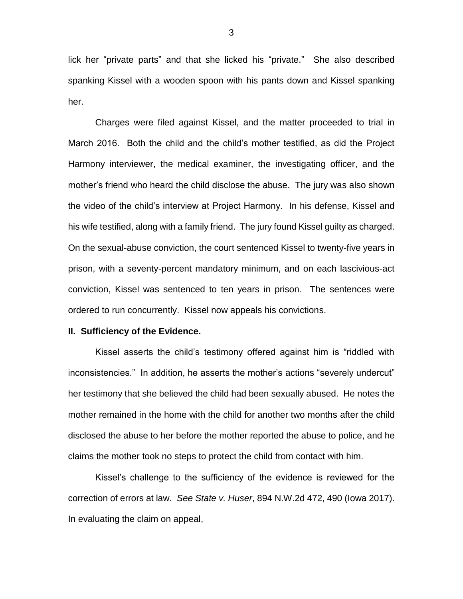lick her "private parts" and that she licked his "private." She also described spanking Kissel with a wooden spoon with his pants down and Kissel spanking her.

Charges were filed against Kissel, and the matter proceeded to trial in March 2016. Both the child and the child's mother testified, as did the Project Harmony interviewer, the medical examiner, the investigating officer, and the mother's friend who heard the child disclose the abuse. The jury was also shown the video of the child's interview at Project Harmony. In his defense, Kissel and his wife testified, along with a family friend. The jury found Kissel guilty as charged. On the sexual-abuse conviction, the court sentenced Kissel to twenty-five years in prison, with a seventy-percent mandatory minimum, and on each lascivious-act conviction, Kissel was sentenced to ten years in prison. The sentences were ordered to run concurrently. Kissel now appeals his convictions.

#### **II. Sufficiency of the Evidence.**

Kissel asserts the child's testimony offered against him is "riddled with inconsistencies." In addition, he asserts the mother's actions "severely undercut" her testimony that she believed the child had been sexually abused. He notes the mother remained in the home with the child for another two months after the child disclosed the abuse to her before the mother reported the abuse to police, and he claims the mother took no steps to protect the child from contact with him.

Kissel's challenge to the sufficiency of the evidence is reviewed for the correction of errors at law. *See State v. Huser*, 894 N.W.2d 472, 490 (Iowa 2017). In evaluating the claim on appeal,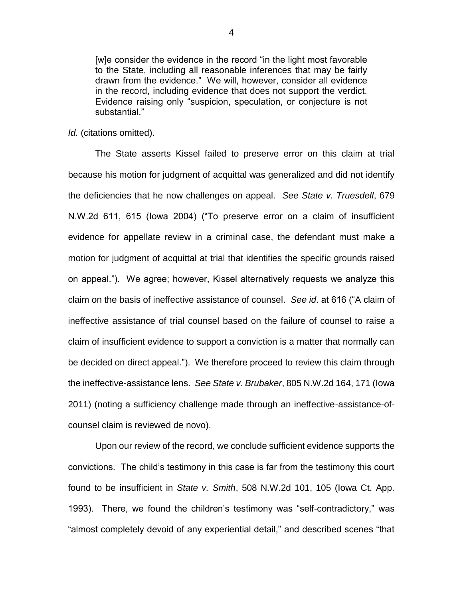[w]e consider the evidence in the record "in the light most favorable to the State, including all reasonable inferences that may be fairly drawn from the evidence." We will, however, consider all evidence in the record, including evidence that does not support the verdict. Evidence raising only "suspicion, speculation, or conjecture is not substantial."

## *Id.* (citations omitted).

The State asserts Kissel failed to preserve error on this claim at trial because his motion for judgment of acquittal was generalized and did not identify the deficiencies that he now challenges on appeal. *See State v. Truesdell*, 679 N.W.2d 611, 615 (Iowa 2004) ("To preserve error on a claim of insufficient evidence for appellate review in a criminal case, the defendant must make a motion for judgment of acquittal at trial that identifies the specific grounds raised on appeal."). We agree; however, Kissel alternatively requests we analyze this claim on the basis of ineffective assistance of counsel. *See id*. at 616 ("A claim of ineffective assistance of trial counsel based on the failure of counsel to raise a claim of insufficient evidence to support a conviction is a matter that normally can be decided on direct appeal."). We therefore proceed to review this claim through the ineffective-assistance lens. *See State v. Brubaker*, 805 N.W.2d 164, 171 (Iowa 2011) (noting a sufficiency challenge made through an ineffective-assistance-ofcounsel claim is reviewed de novo).

Upon our review of the record, we conclude sufficient evidence supports the convictions. The child's testimony in this case is far from the testimony this court found to be insufficient in *State v. Smith*, 508 N.W.2d 101, 105 (Iowa Ct. App. 1993). There, we found the children's testimony was "self-contradictory," was "almost completely devoid of any experiential detail," and described scenes "that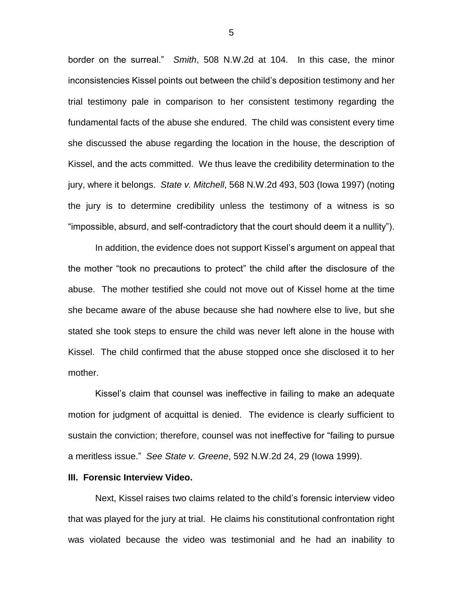border on the surreal." *Smith*, 508 N.W.2d at 104. In this case, the minor inconsistencies Kissel points out between the child's deposition testimony and her trial testimony pale in comparison to her consistent testimony regarding the fundamental facts of the abuse she endured. The child was consistent every time she discussed the abuse regarding the location in the house, the description of Kissel, and the acts committed. We thus leave the credibility determination to the jury, where it belongs. *State v. Mitchell*, 568 N.W.2d 493, 503 (Iowa 1997) (noting the jury is to determine credibility unless the testimony of a witness is so "impossible, absurd, and self-contradictory that the court should deem it a nullity").

In addition, the evidence does not support Kissel's argument on appeal that the mother "took no precautions to protect" the child after the disclosure of the abuse. The mother testified she could not move out of Kissel home at the time she became aware of the abuse because she had nowhere else to live, but she stated she took steps to ensure the child was never left alone in the house with Kissel. The child confirmed that the abuse stopped once she disclosed it to her mother.

Kissel's claim that counsel was ineffective in failing to make an adequate motion for judgment of acquittal is denied. The evidence is clearly sufficient to sustain the conviction; therefore, counsel was not ineffective for "failing to pursue a meritless issue." *See State v. Greene*, 592 N.W.2d 24, 29 (Iowa 1999).

### **III. Forensic Interview Video.**

Next, Kissel raises two claims related to the child's forensic interview video that was played for the jury at trial. He claims his constitutional confrontation right was violated because the video was testimonial and he had an inability to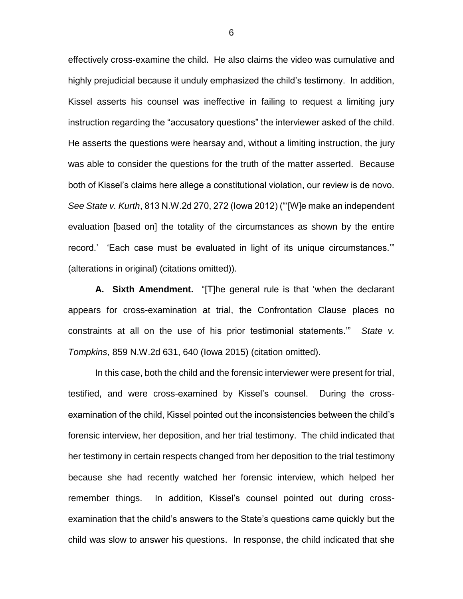effectively cross-examine the child. He also claims the video was cumulative and highly prejudicial because it unduly emphasized the child's testimony. In addition, Kissel asserts his counsel was ineffective in failing to request a limiting jury instruction regarding the "accusatory questions" the interviewer asked of the child. He asserts the questions were hearsay and, without a limiting instruction, the jury was able to consider the questions for the truth of the matter asserted. Because both of Kissel's claims here allege a constitutional violation, our review is de novo. *See State v. Kurth*, 813 N.W.2d 270, 272 (Iowa 2012) ("'[W]e make an independent evaluation [based on] the totality of the circumstances as shown by the entire record.' 'Each case must be evaluated in light of its unique circumstances.'" (alterations in original) (citations omitted)).

**A. Sixth Amendment.** "[T]he general rule is that 'when the declarant appears for cross-examination at trial, the Confrontation Clause places no constraints at all on the use of his prior testimonial statements.'" *State v. Tompkins*, 859 N.W.2d 631, 640 (Iowa 2015) (citation omitted).

In this case, both the child and the forensic interviewer were present for trial, testified, and were cross-examined by Kissel's counsel. During the crossexamination of the child, Kissel pointed out the inconsistencies between the child's forensic interview, her deposition, and her trial testimony. The child indicated that her testimony in certain respects changed from her deposition to the trial testimony because she had recently watched her forensic interview, which helped her remember things. In addition, Kissel's counsel pointed out during crossexamination that the child's answers to the State's questions came quickly but the child was slow to answer his questions. In response, the child indicated that she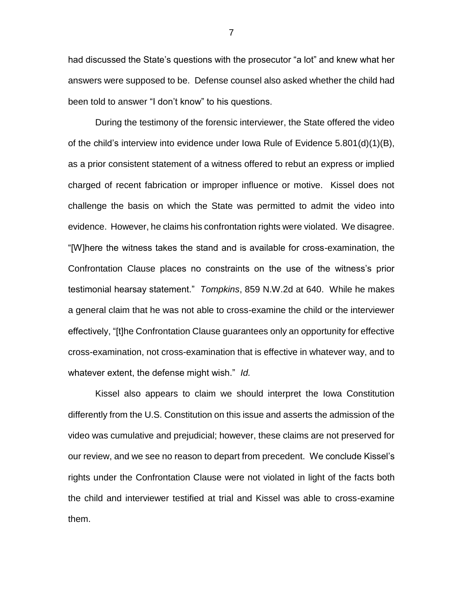had discussed the State's questions with the prosecutor "a lot" and knew what her answers were supposed to be. Defense counsel also asked whether the child had been told to answer "I don't know" to his questions.

During the testimony of the forensic interviewer, the State offered the video of the child's interview into evidence under Iowa Rule of Evidence 5.801(d)(1)(B), as a prior consistent statement of a witness offered to rebut an express or implied charged of recent fabrication or improper influence or motive. Kissel does not challenge the basis on which the State was permitted to admit the video into evidence. However, he claims his confrontation rights were violated. We disagree. "[W]here the witness takes the stand and is available for cross-examination, the Confrontation Clause places no constraints on the use of the witness's prior testimonial hearsay statement." *Tompkins*, 859 N.W.2d at 640. While he makes a general claim that he was not able to cross-examine the child or the interviewer effectively, "[t]he Confrontation Clause guarantees only an opportunity for effective cross-examination, not cross-examination that is effective in whatever way, and to whatever extent, the defense might wish." *Id.*

Kissel also appears to claim we should interpret the Iowa Constitution differently from the U.S. Constitution on this issue and asserts the admission of the video was cumulative and prejudicial; however, these claims are not preserved for our review, and we see no reason to depart from precedent. We conclude Kissel's rights under the Confrontation Clause were not violated in light of the facts both the child and interviewer testified at trial and Kissel was able to cross-examine them.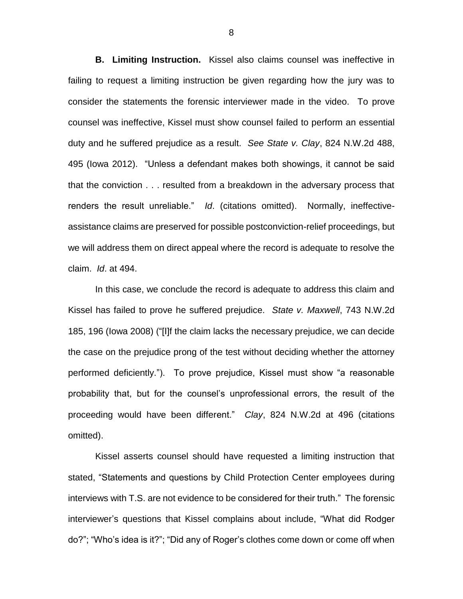**B. Limiting Instruction.** Kissel also claims counsel was ineffective in failing to request a limiting instruction be given regarding how the jury was to consider the statements the forensic interviewer made in the video. To prove counsel was ineffective, Kissel must show counsel failed to perform an essential duty and he suffered prejudice as a result. *See State v. Clay*, 824 N.W.2d 488, 495 (Iowa 2012). "Unless a defendant makes both showings, it cannot be said that the conviction . . . resulted from a breakdown in the adversary process that renders the result unreliable." *Id*. (citations omitted). Normally, ineffectiveassistance claims are preserved for possible postconviction-relief proceedings, but we will address them on direct appeal where the record is adequate to resolve the claim. *Id*. at 494.

In this case, we conclude the record is adequate to address this claim and Kissel has failed to prove he suffered prejudice. *State v. Maxwell*, 743 N.W.2d 185, 196 (Iowa 2008) ("[I]f the claim lacks the necessary prejudice, we can decide the case on the prejudice prong of the test without deciding whether the attorney performed deficiently."). To prove prejudice, Kissel must show "a reasonable probability that, but for the counsel's unprofessional errors, the result of the proceeding would have been different." *Clay*, 824 N.W.2d at 496 (citations omitted).

Kissel asserts counsel should have requested a limiting instruction that stated, "Statements and questions by Child Protection Center employees during interviews with T.S. are not evidence to be considered for their truth." The forensic interviewer's questions that Kissel complains about include, "What did Rodger do?"; "Who's idea is it?"; "Did any of Roger's clothes come down or come off when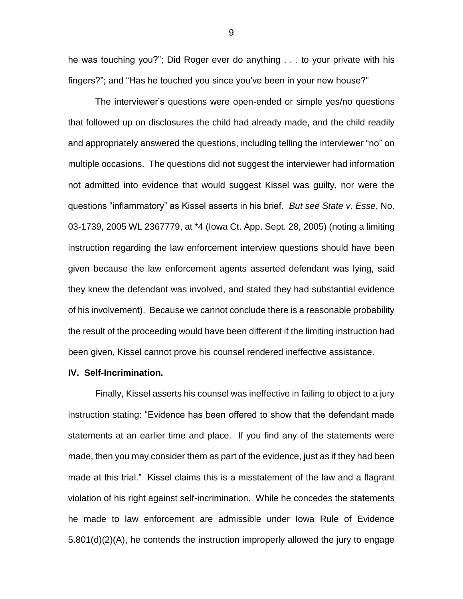he was touching you?"; Did Roger ever do anything . . . to your private with his fingers?"; and "Has he touched you since you've been in your new house?"

The interviewer's questions were open-ended or simple yes/no questions that followed up on disclosures the child had already made, and the child readily and appropriately answered the questions, including telling the interviewer "no" on multiple occasions. The questions did not suggest the interviewer had information not admitted into evidence that would suggest Kissel was guilty, nor were the questions "inflammatory" as Kissel asserts in his brief. *But see State v. Esse*, No. 03-1739, 2005 WL 2367779, at \*4 (Iowa Ct. App. Sept. 28, 2005) (noting a limiting instruction regarding the law enforcement interview questions should have been given because the law enforcement agents asserted defendant was lying, said they knew the defendant was involved, and stated they had substantial evidence of his involvement). Because we cannot conclude there is a reasonable probability the result of the proceeding would have been different if the limiting instruction had been given, Kissel cannot prove his counsel rendered ineffective assistance.

## **IV. Self-Incrimination.**

Finally, Kissel asserts his counsel was ineffective in failing to object to a jury instruction stating: "Evidence has been offered to show that the defendant made statements at an earlier time and place. If you find any of the statements were made, then you may consider them as part of the evidence, just as if they had been made at this trial." Kissel claims this is a misstatement of the law and a flagrant violation of his right against self-incrimination. While he concedes the statements he made to law enforcement are admissible under Iowa Rule of Evidence 5.801(d)(2)(A), he contends the instruction improperly allowed the jury to engage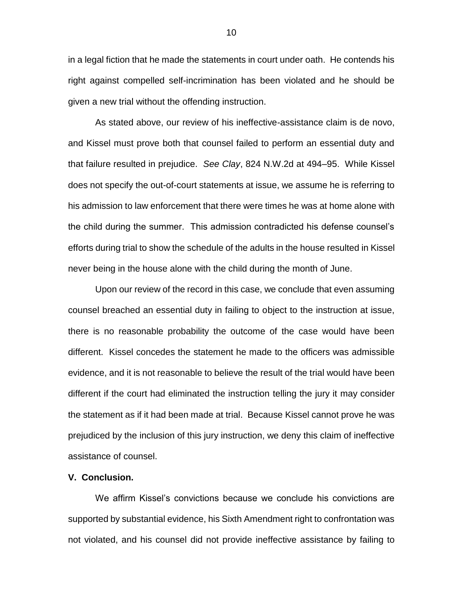in a legal fiction that he made the statements in court under oath. He contends his right against compelled self-incrimination has been violated and he should be given a new trial without the offending instruction.

As stated above, our review of his ineffective-assistance claim is de novo, and Kissel must prove both that counsel failed to perform an essential duty and that failure resulted in prejudice. *See Clay*, 824 N.W.2d at 494–95. While Kissel does not specify the out-of-court statements at issue, we assume he is referring to his admission to law enforcement that there were times he was at home alone with the child during the summer. This admission contradicted his defense counsel's efforts during trial to show the schedule of the adults in the house resulted in Kissel never being in the house alone with the child during the month of June.

Upon our review of the record in this case, we conclude that even assuming counsel breached an essential duty in failing to object to the instruction at issue, there is no reasonable probability the outcome of the case would have been different. Kissel concedes the statement he made to the officers was admissible evidence, and it is not reasonable to believe the result of the trial would have been different if the court had eliminated the instruction telling the jury it may consider the statement as if it had been made at trial. Because Kissel cannot prove he was prejudiced by the inclusion of this jury instruction, we deny this claim of ineffective assistance of counsel.

## **V. Conclusion.**

We affirm Kissel's convictions because we conclude his convictions are supported by substantial evidence, his Sixth Amendment right to confrontation was not violated, and his counsel did not provide ineffective assistance by failing to